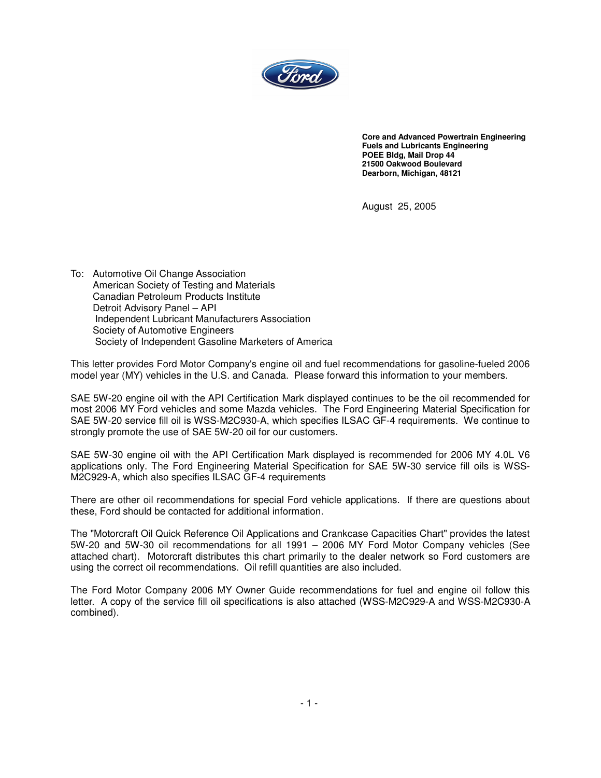

**Core and Advanced Powertrain Engineering Fuels and Lubricants Engineering POEE Bldg, Mail Drop 44 21500 Oakwood Boulevard Dearborn, Michigan, 48121**

August 25, 2005

To: Automotive Oil Change Association American Society of Testing and Materials Canadian Petroleum Products Institute Detroit Advisory Panel – API Independent Lubricant Manufacturers Association Society of Automotive Engineers Society of Independent Gasoline Marketers of America

This letter provides Ford Motor Company's engine oil and fuel recommendations for gasoline-fueled 2006 model year (MY) vehicles in the U.S. and Canada. Please forward this information to your members.

SAE 5W-20 engine oil with the API Certification Mark displayed continues to be the oil recommended for most 2006 MY Ford vehicles and some Mazda vehicles. The Ford Engineering Material Specification for SAE 5W-20 service fill oil is WSS-M2C930-A, which specifies ILSAC GF-4 requirements. We continue to strongly promote the use of SAE 5W-20 oil for our customers.

SAE 5W-30 engine oil with the API Certification Mark displayed is recommended for 2006 MY 4.0L V6 applications only. The Ford Engineering Material Specification for SAE 5W-30 service fill oils is WSS-M2C929-A, which also specifies ILSAC GF-4 requirements

There are other oil recommendations for special Ford vehicle applications. If there are questions about these, Ford should be contacted for additional information.

The "Motorcraft Oil Quick Reference Oil Applications and Crankcase Capacities Chart" provides the latest 5W-20 and 5W-30 oil recommendations for all 1991 – 2006 MY Ford Motor Company vehicles (See attached chart). Motorcraft distributes this chart primarily to the dealer network so Ford customers are using the correct oil recommendations. Oil refill quantities are also included.

The Ford Motor Company 2006 MY Owner Guide recommendations for fuel and engine oil follow this letter. A copy of the service fill oil specifications is also attached (WSS-M2C929-A and WSS-M2C930-A combined).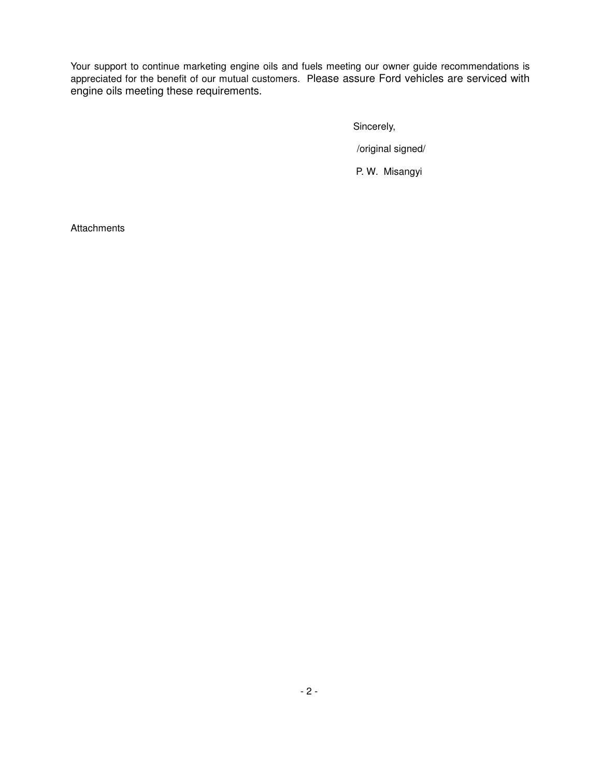Your support to continue marketing engine oils and fuels meeting our owner guide recommendations is appreciated for the benefit of our mutual customers. Please assure Ford vehicles are serviced with engine oils meeting these requirements.

Sincerely,

/original signed/

P. W. Misangyi

**Attachments**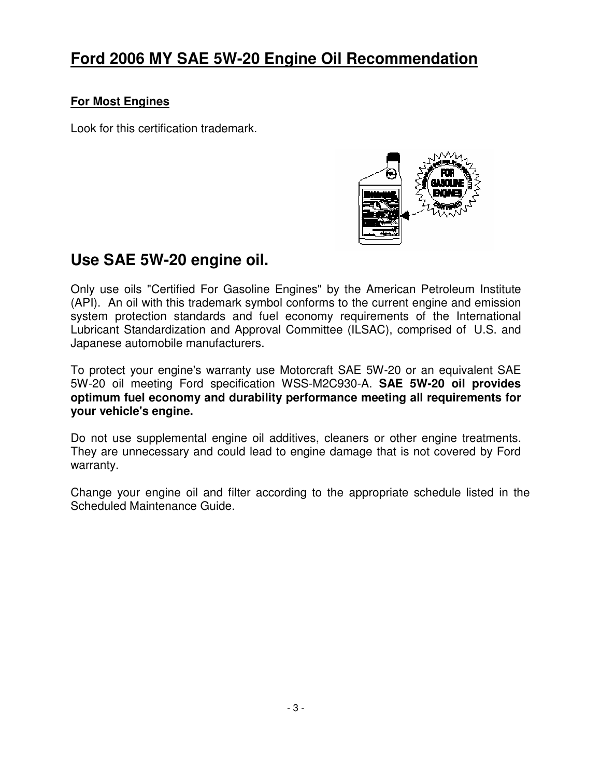## **Ford 2006 MY SAE 5W-20 Engine Oil Recommendation**

#### **For Most Engines**

Look for this certification trademark.



### **Use SAE 5W-20 engine oil.**

Only use oils "Certified For Gasoline Engines" by the American Petroleum Institute (API). An oil with this trademark symbol conforms to the current engine and emission system protection standards and fuel economy requirements of the International Lubricant Standardization and Approval Committee (ILSAC), comprised of U.S. and Japanese automobile manufacturers.

To protect your engine's warranty use Motorcraft SAE 5W-20 or an equivalent SAE 5W-20 oil meeting Ford specification WSS-M2C930-A. **SAE 5W-20 oil provides optimum fuel economy and durability performance meeting all requirements for your vehicle's engine.**

Do not use supplemental engine oil additives, cleaners or other engine treatments. They are unnecessary and could lead to engine damage that is not covered by Ford warranty.

Change your engine oil and filter according to the appropriate schedule listed in the Scheduled Maintenance Guide.